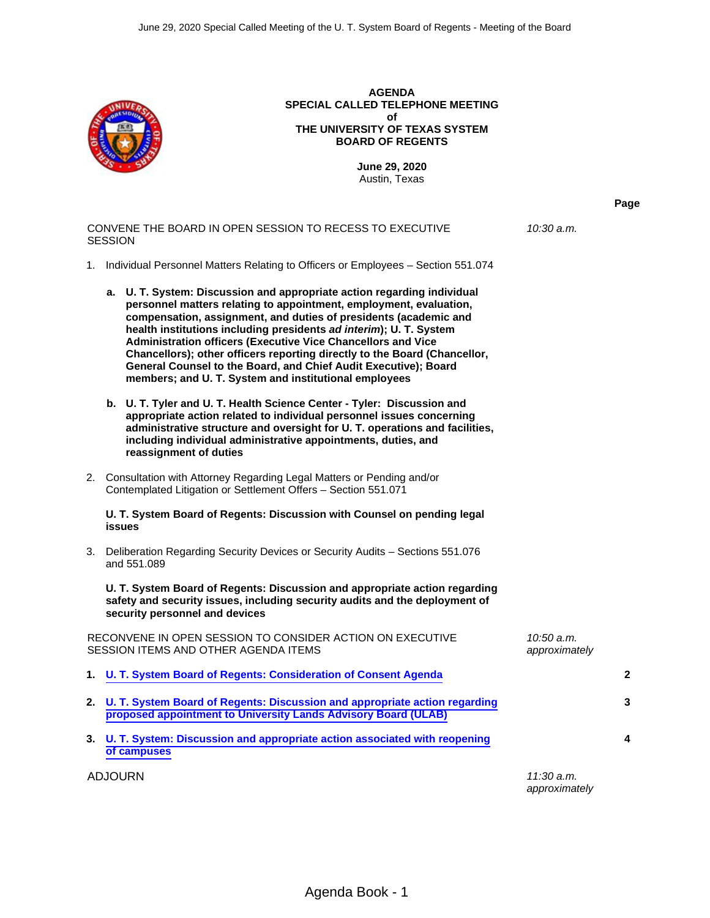

**AGENDA SPECIAL CALLED TELEPHONE MEETING of THE UNIVERSITY OF TEXAS SYSTEM BOARD OF REGENTS**

> **June 29, 2020** Austin, Texas

> > **Page**

CONVENE THE BOARD IN OPEN SESSION TO RECESS TO EXECUTIVE SESSION *10:30 a.m.* 1. Individual Personnel Matters Relating to Officers or Employees – Section 551.074 **a. U. T. System: Discussion and appropriate action regarding individual personnel matters relating to appointment, employment, evaluation, compensation, assignment, and duties of presidents (academic and health institutions including presidents** *ad interim***); U. T. System Administration officers (Executive Vice Chancellors and Vice Chancellors); other officers reporting directly to the Board (Chancellor, General Counsel to the Board, and Chief Audit Executive); Board members; and U. T. System and institutional employees b. U. T. Tyler and U. T. Health Science Center - Tyler: Discussion and appropriate action related to individual personnel issues concerning administrative structure and oversight for U. T. operations and facilities, including individual administrative appointments, duties, and reassignment of duties**  2. Consultation with Attorney Regarding Legal Matters or Pending and/or Contemplated Litigation or Settlement Offers – Section 551.071 **U. T. System Board of Regents: Discussion with Counsel on pending legal issues** 3. Deliberation Regarding Security Devices or Security Audits – Sections 551.076 and 551.089 **U. T. System Board of Regents: Discussion and appropriate action regarding safety and security issues, including security audits and the deployment of security personnel and devices** RECONVENE IN OPEN SESSION TO CONSIDER ACTION ON EXECUTIVE SESSION ITEMS AND OTHER AGENDA ITEMS *10:50 a.m. approximately* **1. [U. T. System Board of Regents: Consideration of Consent Agenda](#page-1-0) 2 2. [U. T. System Board of Regents: Discussion and appropriate action regarding](#page-2-0) [proposed appointment to University Lands Advisory Board \(ULAB\)](#page-2-0) 3 3. [U. T. System: Discussion and appropriate action associated with reopening](#page-3-0) [of campuses](#page-3-0) 4** ADJOURN *11:30 a.m. approximately*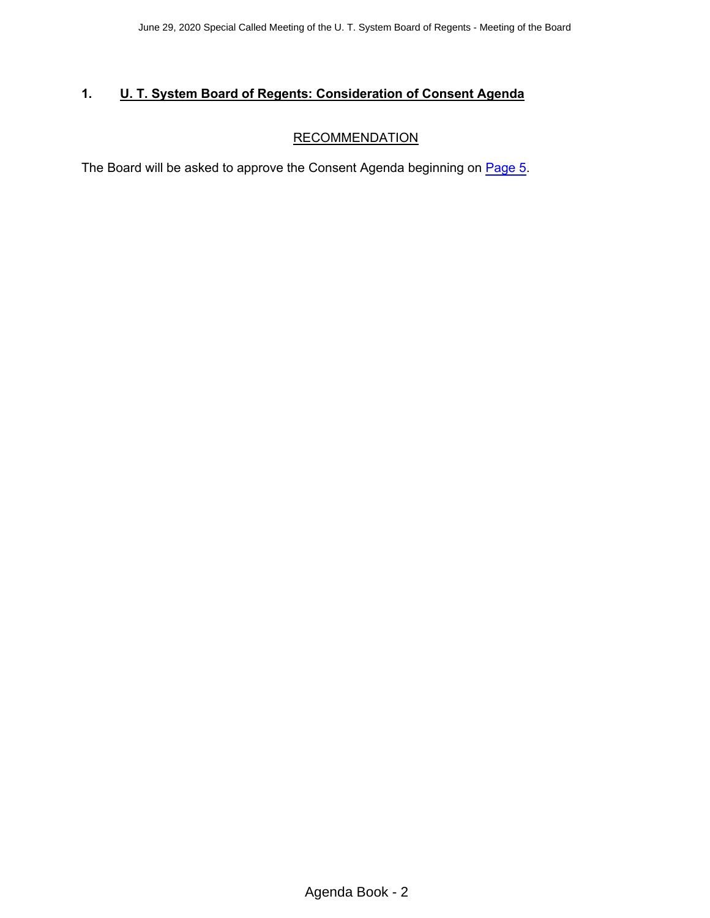# <span id="page-1-0"></span>**1. U. T. System Board of Regents: Consideration of Consent Agenda**

# **RECOMMENDATION**

The Board will be asked to approve the Consent Agenda beginning on [Page 5](#page-4-0).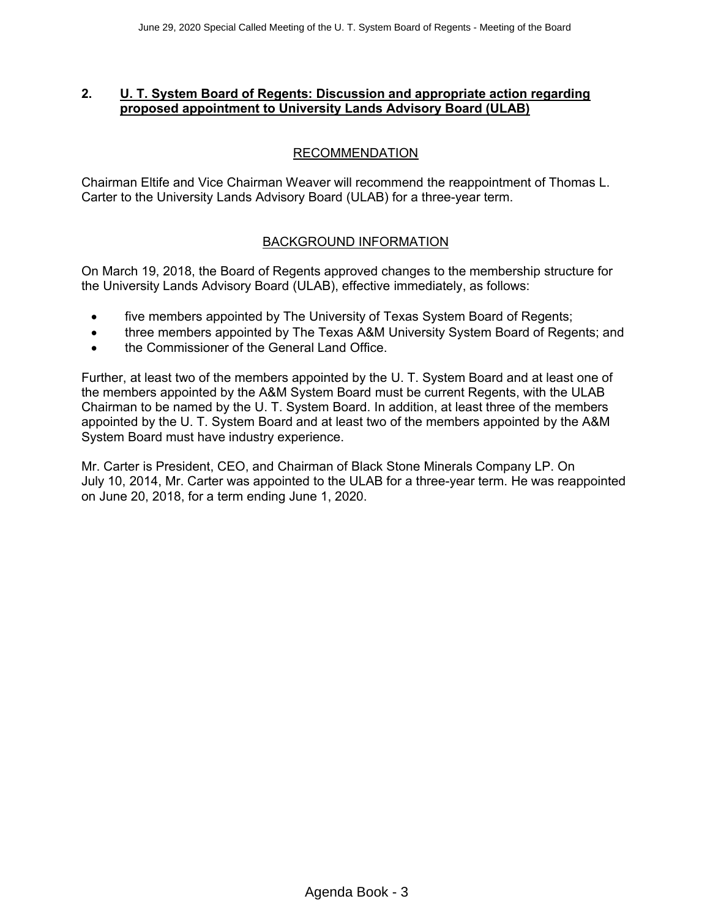#### <span id="page-2-0"></span>**2. U. T. System Board of Regents: Discussion and appropriate action regarding proposed appointment to University Lands Advisory Board (ULAB)**

# RECOMMENDATION

Chairman Eltife and Vice Chairman Weaver will recommend the reappointment of Thomas L. Carter to the University Lands Advisory Board (ULAB) for a three-year term.

#### BACKGROUND INFORMATION

On March 19, 2018, the Board of Regents approved changes to the membership structure for the University Lands Advisory Board (ULAB), effective immediately, as follows:

- five members appointed by The University of Texas System Board of Regents;
- three members appointed by The Texas A&M University System Board of Regents; and
- the Commissioner of the General Land Office.

Further, at least two of the members appointed by the U. T. System Board and at least one of the members appointed by the A&M System Board must be current Regents, with the ULAB Chairman to be named by the U. T. System Board. In addition, at least three of the members appointed by the U. T. System Board and at least two of the members appointed by the A&M System Board must have industry experience.

Mr. Carter is President, CEO, and Chairman of Black Stone Minerals Company LP. On July 10, 2014, Mr. Carter was appointed to the ULAB for a three-year term. He was reappointed on June 20, 2018, for a term ending June 1, 2020.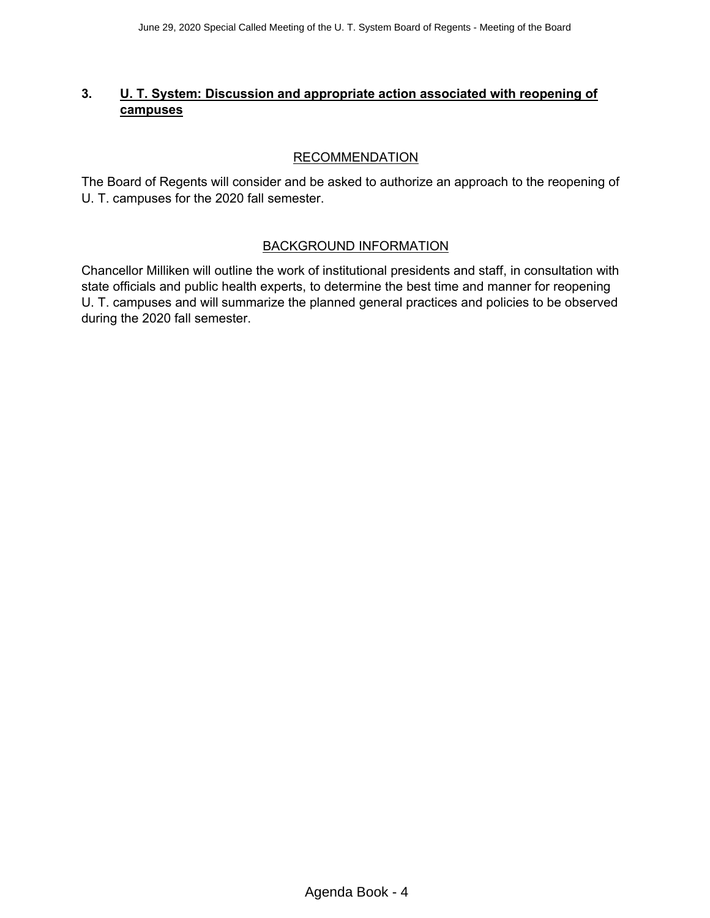# <span id="page-3-0"></span>**3. U. T. System: Discussion and appropriate action associated with reopening of campuses**

# **RECOMMENDATION**

The Board of Regents will consider and be asked to authorize an approach to the reopening of U. T. campuses for the 2020 fall semester.

#### BACKGROUND INFORMATION

Chancellor Milliken will outline the work of institutional presidents and staff, in consultation with state officials and public health experts, to determine the best time and manner for reopening U. T. campuses and will summarize the planned general practices and policies to be observed during the 2020 fall semester.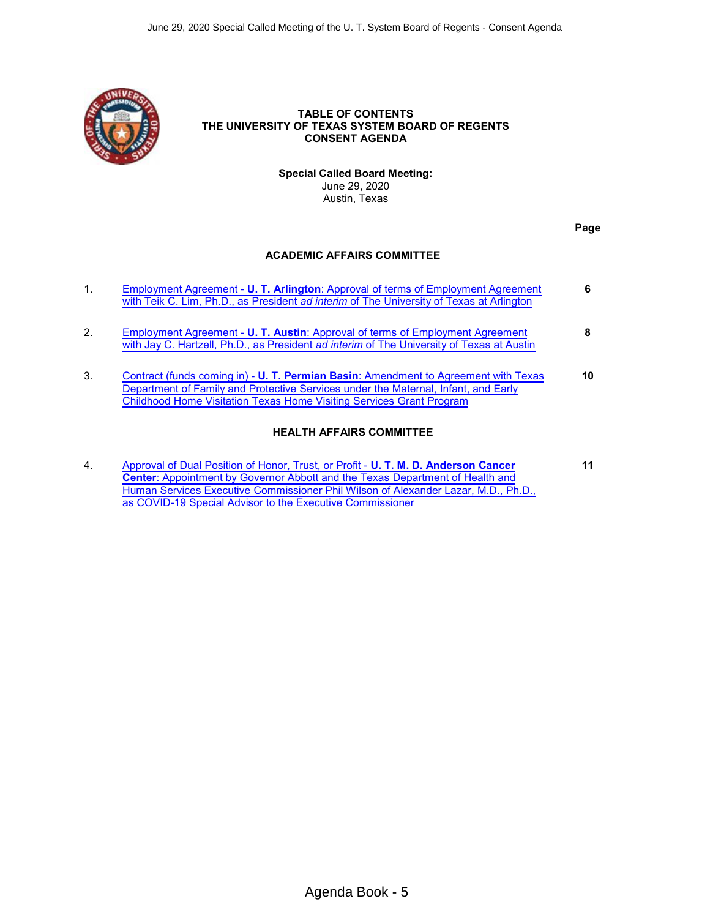<span id="page-4-0"></span>

#### **TABLE OF CONTENTS THE UNIVERSITY OF TEXAS SYSTEM BOARD OF REGENTS CONSENT AGENDA**

**Special Called Board Meeting:**  June 29, 2020 Austin, Texas

**Page** 

#### **ACADEMIC AFFAIRS COMMITTEE**

| 1. | Employment Agreement - U. T. Arlington: Approval of terms of Employment Agreement<br>with Teik C. Lim, Ph.D., as President ad interim of The University of Texas at Arlington                                                                     | 6  |
|----|---------------------------------------------------------------------------------------------------------------------------------------------------------------------------------------------------------------------------------------------------|----|
| 2. | Employment Agreement - U. T. Austin: Approval of terms of Employment Agreement<br>with Jay C. Hartzell, Ph.D., as President ad interim of The University of Texas at Austin                                                                       | 8  |
| 3. | Contract (funds coming in) - U. T. Permian Basin: Amendment to Agreement with Texas<br>Department of Family and Protective Services under the Maternal, Infant, and Early<br>Childhood Home Visitation Texas Home Visiting Services Grant Program | 10 |
|    | <b>HEALTH AFFAIRS COMMITTEE</b>                                                                                                                                                                                                                   |    |

4. [Approval of Dual Position of Honor, Trust, or Profit -](#page-10-0) **U. T. M. D. Anderson Cancer Center**[: Appointment by Governor Abbott and the Texas Department of Health and](#page-10-0) [Human Services Executive Commissioner Phil Wilson of Alexander Lazar, M.D., Ph.D.,](#page-10-0) [as COVID-19 Special Advisor to the Executive Commissioner](#page-10-0) **11**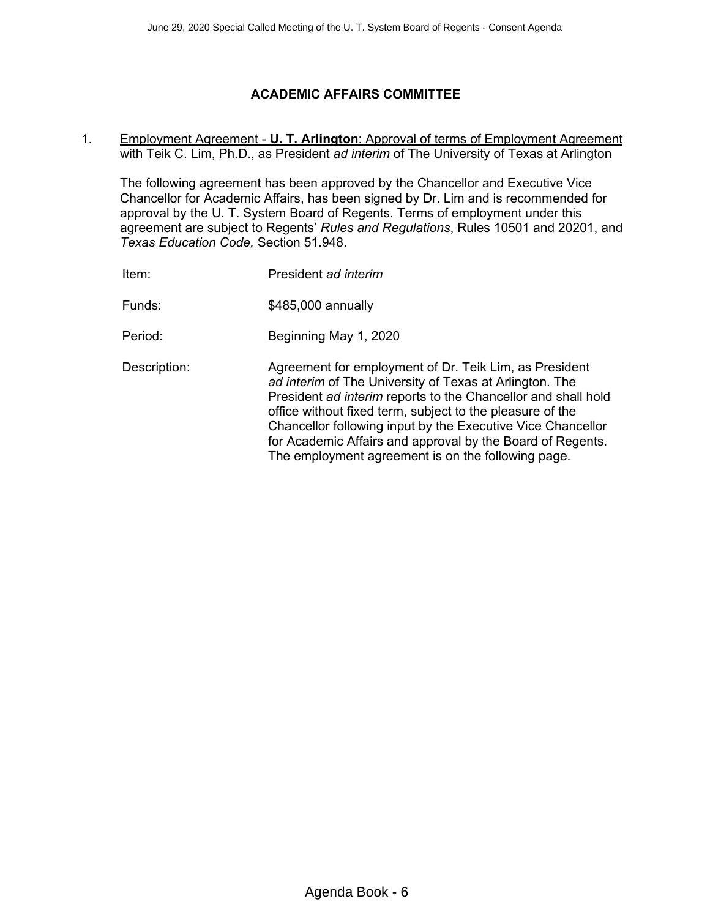# **ACADEMIC AFFAIRS COMMITTEE**

#### <span id="page-5-0"></span>1. Employment Agreement - **U. T. Arlington**: Approval of terms of Employment Agreement with Teik C. Lim, Ph.D., as President *ad interim* of The University of Texas at Arlington

The following agreement has been approved by the Chancellor and Executive Vice Chancellor for Academic Affairs, has been signed by Dr. Lim and is recommended for approval by the U. T. System Board of Regents. Terms of employment under this agreement are subject to Regents' *Rules and Regulations*, Rules 10501 and 20201, and *Texas Education Code,* Section 51.948.

| Item:        | President ad interim                                                                                                                                                                                                                                                                                                                                                                                                               |
|--------------|------------------------------------------------------------------------------------------------------------------------------------------------------------------------------------------------------------------------------------------------------------------------------------------------------------------------------------------------------------------------------------------------------------------------------------|
| Funds:       | \$485,000 annually                                                                                                                                                                                                                                                                                                                                                                                                                 |
| Period:      | Beginning May 1, 2020                                                                                                                                                                                                                                                                                                                                                                                                              |
| Description: | Agreement for employment of Dr. Teik Lim, as President<br>ad interim of The University of Texas at Arlington. The<br>President ad interim reports to the Chancellor and shall hold<br>office without fixed term, subject to the pleasure of the<br>Chancellor following input by the Executive Vice Chancellor<br>for Academic Affairs and approval by the Board of Regents.<br>The employment agreement is on the following page. |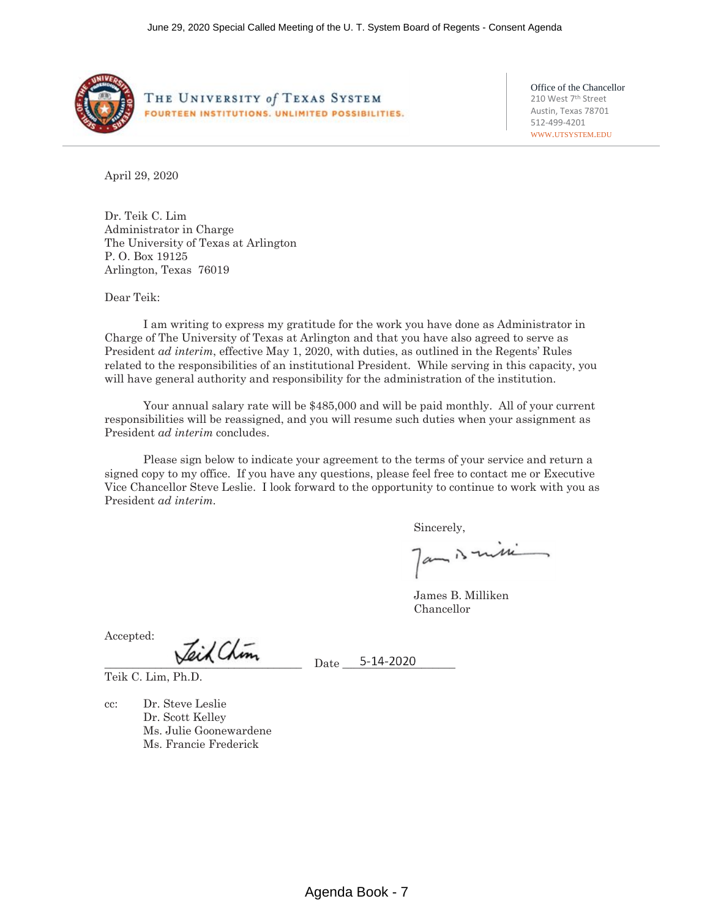

THE UNIVERSITY of TEXAS SYSTEM FOURTEEN INSTITUTIONS. UNLIMITED POSSIBILITIES. Office of the Chancellor 210 West 7<sup>th</sup> Street Austin, Texas 78701 512-499-4201 WWW.UTSYSTEM.EDU

April 29, 2020

Dr. Teik C. Lim Administrator in Charge The University of Texas at Arlington P. O. Box 19125 Arlington, Texas 76019

Dear Teik:

I am writing to express my gratitude for the work you have done as Administrator in Charge of The University of Texas at Arlington and that you have also agreed to serve as President *ad interim*, effective May 1, 2020, with duties, as outlined in the Regents' Rules related to the responsibilities of an institutional President. While serving in this capacity, you will have general authority and responsibility for the administration of the institution.

Your annual salary rate will be \$485,000 and will be paid monthly. All of your current responsibilities will be reassigned, and you will resume such duties when your assignment as President *ad interim* concludes.

Please sign below to indicate your agreement to the terms of your service and return a signed copy to my office. If you have any questions, please feel free to contact me or Executive Vice Chancellor Steve Leslie. I look forward to the opportunity to continue to work with you as President *ad interim.*

Sincerely,

Jam is missi

James B. Milliken Chancellor

Accepted:

 $\frac{1}{\sqrt{2\pi}} \frac{1}{\sqrt{2\pi}} \frac{1}{\sqrt{2\pi}} \frac{1}{\sqrt{2\pi}} \frac{1}{\sqrt{2\pi}} \frac{1}{\sqrt{2\pi}} \frac{1}{\sqrt{2\pi}} \frac{1}{\sqrt{2\pi}} \frac{1}{\sqrt{2\pi}} \frac{1}{\sqrt{2\pi}} \frac{1}{\sqrt{2\pi}} \frac{1}{\sqrt{2\pi}} \frac{1}{\sqrt{2\pi}} \frac{1}{\sqrt{2\pi}} \frac{1}{\sqrt{2\pi}} \frac{1}{\sqrt{2\pi}} \frac{1}{\sqrt{2\pi}} \frac{1}{\sqrt{2\pi}} \frac{1$ 

Teik C. Lim, Ph.D.

cc: Dr. Steve Leslie Dr. Scott Kelley Ms. Julie Goonewardene Ms. Francie Frederick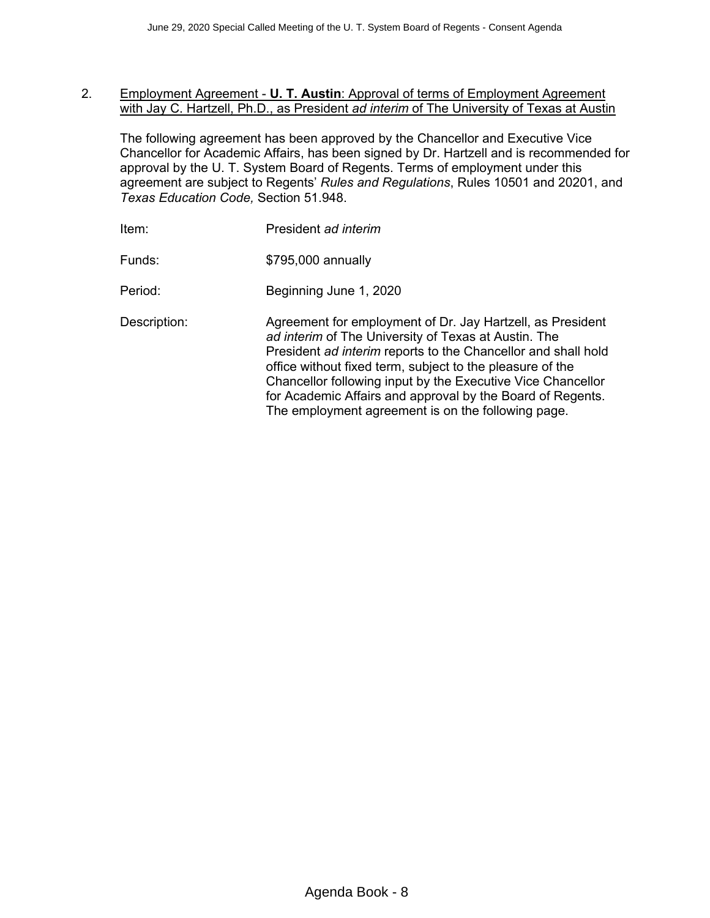#### <span id="page-7-0"></span>2. Employment Agreement - **U. T. Austin**: Approval of terms of Employment Agreement with Jay C. Hartzell, Ph.D., as President *ad interim* of The University of Texas at Austin

The following agreement has been approved by the Chancellor and Executive Vice Chancellor for Academic Affairs, has been signed by Dr. Hartzell and is recommended for approval by the U. T. System Board of Regents. Terms of employment under this agreement are subject to Regents' *Rules and Regulations*, Rules 10501 and 20201, and *Texas Education Code,* Section 51.948.

| Item:        | President ad interim                                                                                                                                                                                                                                                                                                                                                                                                                |
|--------------|-------------------------------------------------------------------------------------------------------------------------------------------------------------------------------------------------------------------------------------------------------------------------------------------------------------------------------------------------------------------------------------------------------------------------------------|
| Funds:       | \$795,000 annually                                                                                                                                                                                                                                                                                                                                                                                                                  |
| Period:      | Beginning June 1, 2020                                                                                                                                                                                                                                                                                                                                                                                                              |
| Description: | Agreement for employment of Dr. Jay Hartzell, as President<br>ad interim of The University of Texas at Austin. The<br>President ad interim reports to the Chancellor and shall hold<br>office without fixed term, subject to the pleasure of the<br>Chancellor following input by the Executive Vice Chancellor<br>for Academic Affairs and approval by the Board of Regents.<br>The employment agreement is on the following page. |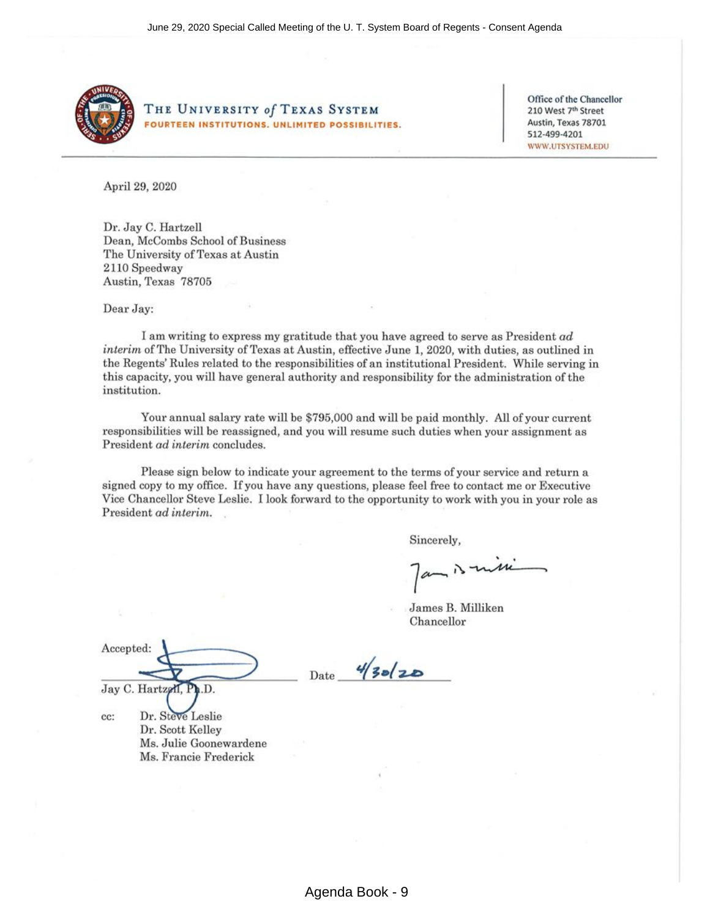

THE UNIVERSITY of TEXAS SYSTEM **FOURTEEN INSTITUTIONS, UNLIMITED POSSIBILITIES.** 

Office of the Chancellor 210 West 7th Street Austin, Texas 78701 512-499-4201 WWW.UTSYSTEM.EDU

April 29, 2020

Dr. Jay C. Hartzell Dean, McCombs School of Business The University of Texas at Austin 2110 Speedway Austin, Texas 78705

Dear Jay:

I am writing to express my gratitude that you have agreed to serve as President ad interim of The University of Texas at Austin, effective June 1, 2020, with duties, as outlined in the Regents' Rules related to the responsibilities of an institutional President. While serving in this capacity, you will have general authority and responsibility for the administration of the institution.

Your annual salary rate will be \$795,000 and will be paid monthly. All of your current responsibilities will be reassigned, and you will resume such duties when your assignment as President ad interim concludes.

Please sign below to indicate your agreement to the terms of your service and return a signed copy to my office. If you have any questions, please feel free to contact me or Executive Vice Chancellor Steve Leslie. I look forward to the opportunity to work with you in your role as President ad interim.

Date

Sincerely,

 $a$   $\lambda$   $u$ 

James B. Milliken Chancellor

Accepted: Jay C. Hartzell, Ph.D.

cc:

Dr. Steve Leslie Dr. Scott Kelley Ms. Julie Goonewardene Ms. Francie Frederick

 $4/30/20$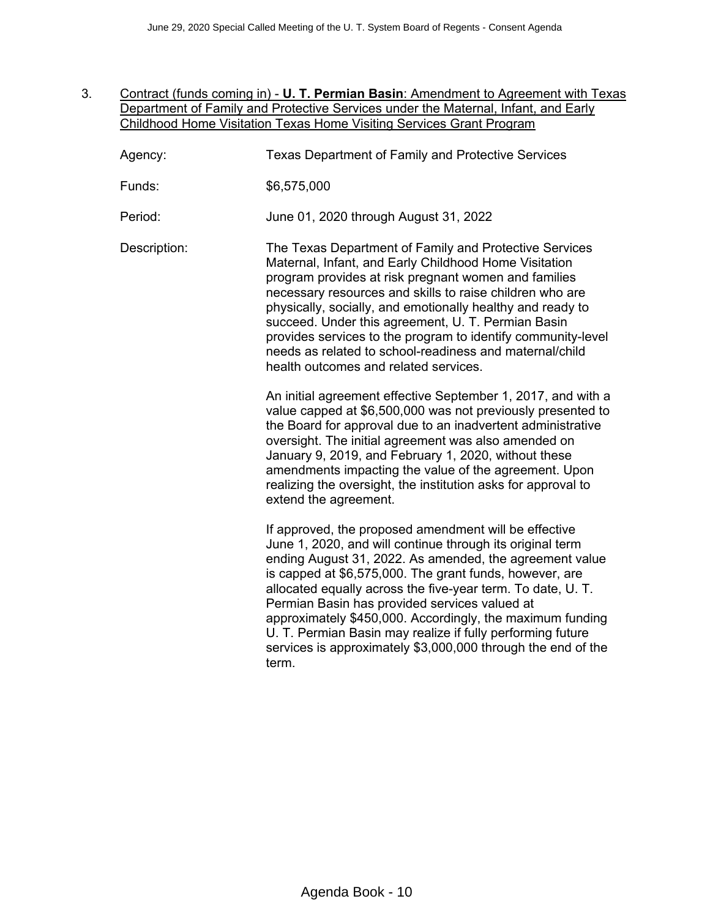- <span id="page-9-0"></span>3. Contract (funds coming in) - **U. T. Permian Basin**: Amendment to Agreement with Texas Department of Family and Protective Services under the Maternal, Infant, and Early Childhood Home Visitation Texas Home Visiting Services Grant Program
	- Agency: Texas Department of Family and Protective Services
	- Funds: \$6,575,000

Period: June 01, 2020 through August 31, 2022

Description: The Texas Department of Family and Protective Services Maternal, Infant, and Early Childhood Home Visitation program provides at risk pregnant women and families necessary resources and skills to raise children who are physically, socially, and emotionally healthy and ready to succeed. Under this agreement, U. T. Permian Basin provides services to the program to identify community-level needs as related to school-readiness and maternal/child health outcomes and related services.

> An initial agreement effective September 1, 2017, and with a value capped at \$6,500,000 was not previously presented to the Board for approval due to an inadvertent administrative oversight. The initial agreement was also amended on January 9, 2019, and February 1, 2020, without these amendments impacting the value of the agreement. Upon realizing the oversight, the institution asks for approval to extend the agreement.

> If approved, the proposed amendment will be effective June 1, 2020, and will continue through its original term ending August 31, 2022. As amended, the agreement value is capped at \$6,575,000. The grant funds, however, are allocated equally across the five-year term. To date, U. T. Permian Basin has provided services valued at approximately \$450,000. Accordingly, the maximum funding U. T. Permian Basin may realize if fully performing future services is approximately \$3,000,000 through the end of the term.